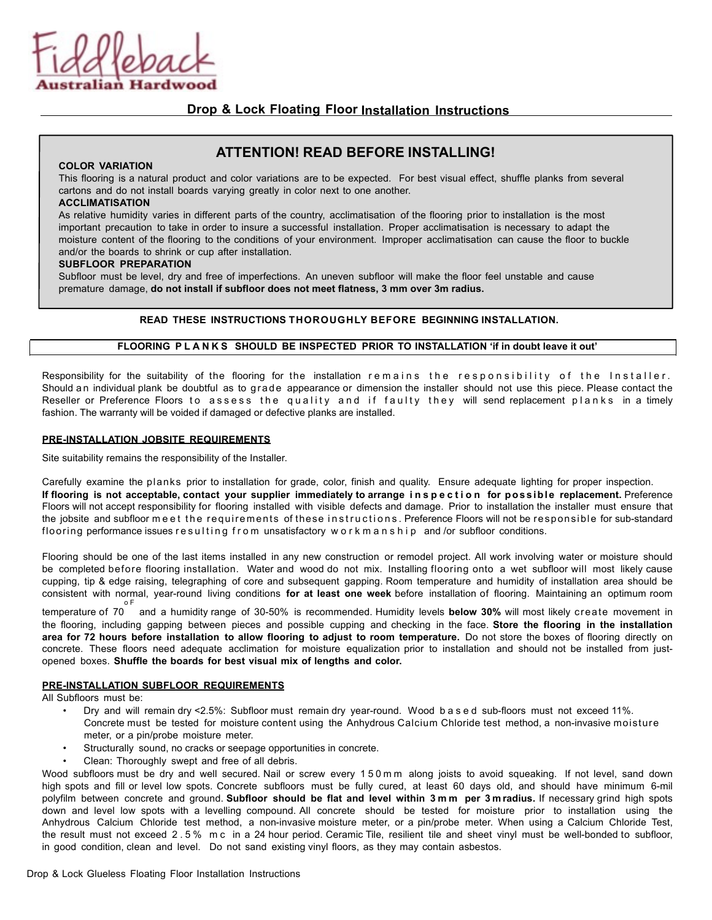

## **Drop & Lock Floating Floor Installation Instructions**

# **ATTENTION! READ BEFORE INSTALLING!**

#### **COLOR VARIATION**

This flooring is a natural product and color variations are to be expected. For best visual effect, shuffle planks from several cartons and do not install boards varying greatly in color next to one another.

### **ACCLIMATISATION**

As relative humidity varies in different parts of the country, acclimatisation of the flooring prior to installation is the most important precaution to take in order to insure a successful installation. Proper acclimatisation is necessary to adapt the moisture content of the flooring to the conditions of your environment. Improper acclimatisation can cause the floor to buckle and/or the boards to shrink or cup after installation.

#### **SUBFLOOR PREPARATION**

Subfloor must be level, dry and free of imperfections. An uneven subfloor will make the floor feel unstable and cause premature damage, **do not install if subfloor does not meet flatness, 3 mm over 3m radius.**

## **READ THESE INSTRUCTIONS THOROUGHLY BEFORE BEGINNING INSTALLATION.**

## **FLOORING PLANKS SHOULD BE INSPECTED PRIOR TO INSTALLATION 'if in doubt leave it out'**

Responsibility for the suitability of the flooring for the installation remains the responsibility of the Installer. Should an individual plank be doubtful as to grade appearance or dimension the installer should not use this piece. Please contact the Reseller or Preference Floors to assess the quality and if faulty they will send replacement planks in a timely fashion. The warranty will be voided if damaged or defective planks are installed.

#### **PRE-INSTALLATION JOBSITE REQUIREMENTS**

Site suitability remains the responsibility of the Installer.

Carefully examine the planks prior to installation for grade, color, finish and quality. Ensure adequate lighting for proper inspection. **If flooring is not acceptable, contact your supplier immediately to arrange inspection for possible replacement.** Preference Floors will not accept responsibility for flooring installed with visible defects and damage. Prior to installation the installer must ensure that the jobsite and subfloor meet the requirements of these instructions . Preference Floors will not be responsible for sub-standard flooring performance issues resulting from unsatisfactory workmanship and /or subfloor conditions.

Flooring should be one of the last items installed in any new construction or remodel project. All work involving water or moisture should be completed before flooring installation. Water and wood do not mix. Installing flooring onto a wet subfloor will most likely cause cupping, tip & edge raising, telegraphing of core and subsequent gapping. Room temperature and humidity of installation area should be consistent with normal, year-round living conditions **for at least one week** before installation of flooring. Maintaining an optimum room o F

temperature of 70 and a humidity range of 30-50% is recommended. Humidity levels **below 30%** will most likely create movement in the flooring, including gapping between pieces and possible cupping and checking in the face. **Store the flooring in the installation** area for 72 hours before installation to allow flooring to adjust to room temperature. Do not store the boxes of flooring directly on concrete. These floors need adequate acclimation for moisture equalization prior to installation and should not be installed from justopened boxes. **Shuffle the boards for best visual mix of lengths and color.**

#### **PRE-INSTALLATION SUBFLOOR REQUIREMENTS**

All Subfloors must be:

- Dry and will remain dry <2.5%: Subfloor must remain dry year-round. Wood based sub-floors must not exceed 11%. Concrete must be tested for moisture content using the Anhydrous Calcium Chloride test method, a non-invasive moisture meter, or a pin/probe moisture meter.
- Structurally sound, no cracks or seepage opportunities in concrete.
- Clean: Thoroughly swept and free of all debris.

Wood subfloors must be dry and well secured. Nail or screw every 150mm along joists to avoid squeaking. If not level, sand down high spots and fill or level low spots. Concrete subfloors must be fully cured, at least 60 days old, and should have minimum 6-mil polyfilm between concrete and ground. **Subfloor should be flat and level within 3mm per 3m radius.** If necessary grind high spots down and level low spots with a levelling compound. All concrete should be tested for moisture prior to installation using the Anhydrous Calcium Chloride test method, a non-invasive moisture meter, or a pin/probe meter. When using a Calcium Chloride Test, the result must not exceed 2.5% mc in a 24 hour period. Ceramic Tile, resilient tile and sheet vinyl must be well-bonded to subfloor, in good condition, clean and level. Do not sand existing vinyl floors, as they may contain asbestos.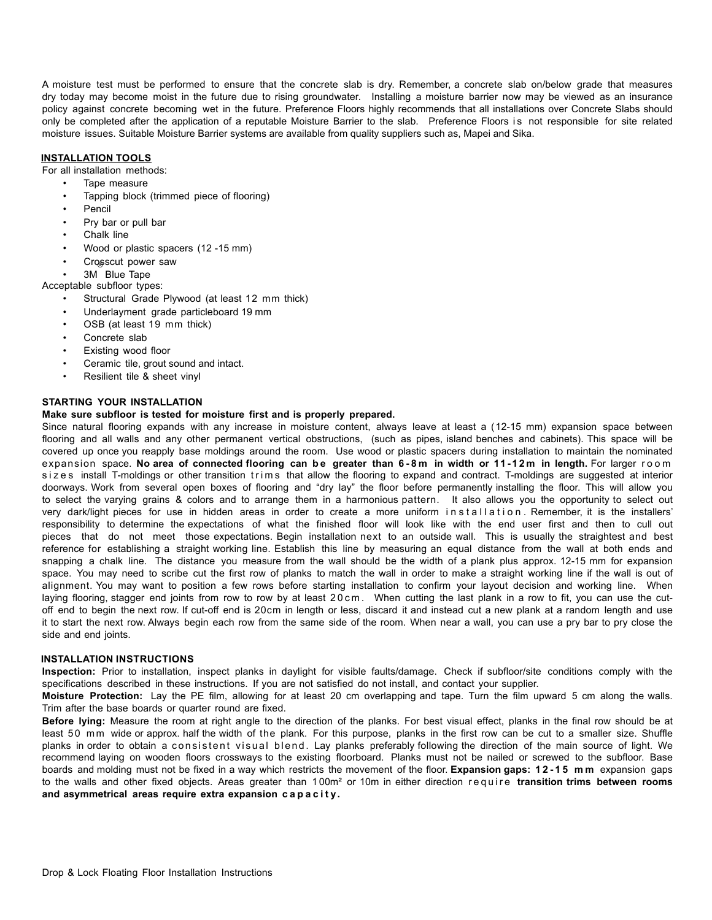A moisture test must be performed to ensure that the concrete slab is dry. Remember, a concrete slab on/below grade that measures dry today may become moist in the future due to rising groundwater. Installing a moisture barrier now may be viewed as an insurance policy against concrete becoming wet in the future. Preference Floors highly recommends that all installations over Concrete Slabs should only be completed after the application of a reputable Moisture Barrier to the slab. Preference Floors is not responsible for site related moisture issues. Suitable Moisture Barrier systems are available from quality suppliers such as, Mapei and Sika.

## **INSTALLATION TOOLS**

For all installation methods:

- Tape measure
	- Tapping block (trimmed piece of flooring)
	- **Pencil**
	- Pry bar or pull bar
	- Chalk line
- Wood or plastic spacers (12 -15 mm)
- Crosscut power saw
- 3M Blue Tape

Acceptable subfloor types:

- Structural Grade Plywood (at least 12 mm thick)
- Underlayment grade particleboard 19 mm
- OSB (at least 19 mm thick)
- Concrete slab
- Existing wood floor
- Ceramic tile, grout sound and intact.
- Resilient tile & sheet vinyl

## **STARTING YOUR INSTALLATION**

#### **Make sure subfloor is tested for moisture first and is properly prepared.**

Since natural flooring expands with any increase in moisture content, always leave at least a (12-15 mm) expansion space between flooring and all walls and any other permanent vertical obstructions, (such as pipes, island benches and cabinets). This space will be covered up once you reapply base moldings around the room. Use wood or plastic spacers during installation to maintain the nominated expansion space. **No area of connected flooring can be greater than 6-8m in width or 11-12m in length.** For larger room sizes install T-moldings or other transition trims that allow the flooring to expand and contract. T-moldings are suggested at interior doorways. Work from several open boxes of flooring and "dry lay" the floor before permanently installing the floor. This will allow you to select the varying grains & colors and to arrange them in a harmonious pattern. It also allows you the opportunity to select out very dark/light pieces for use in hidden areas in order to create a more uniform installation . Remember, it is the installers' responsibility to determine the expectations of what the finished floor will look like with the end user first and then to cull out pieces that do not meet those expectations. Begin installation next to an outside wall. This is usually the straightest and best reference for establishing a straight working line. Establish this line by measuring an equal distance from the wall at both ends and snapping a chalk line. The distance you measure from the wall should be the width of a plank plus approx. 12-15 mm for expansion space. You may need to scribe cut the first row of planks to match the wall in order to make a straight working line if the wall is out of alignment. You may want to position a few rows before starting installation to confirm your layout decision and working line. When laying flooring, stagger end joints from row to row by at least 20cm. When cutting the last plank in a row to fit, you can use the cutoff end to begin the next row. If cut-off end is 20cm in length or less, discard it and instead cut a new plank at a random length and use it to start the next row. Always begin each row from the same side of the room. When near a wall, you can use a pry bar to pry close the side and end joints.

#### **INSTALLATION INSTRUCTIONS**

**Inspection:** Prior to installation, inspect planks in daylight for visible faults/damage. Check if subfloor/site conditions comply with the specifications described in these instructions. If you are not satisfied do not install, and contact your supplier.

**Moisture Protection:** Lay the PE film, allowing for at least 20 cm overlapping and tape. Turn the film upward 5 cm along the walls. Trim after the base boards or quarter round are fixed.

**Before lying:** Measure the room at right angle to the direction of the planks. For best visual effect, planks in the final row should be at least 50 mm wide or approx. half the width of the plank. For this purpose, planks in the first row can be cut to a smaller size. Shuffle planks in order to obtain a consistent visual blend. Lay planks preferably following the direction of the main source of light. We recommend laying on wooden floors crossways to the existing floorboard. Planks must not be nailed or screwed to the subfloor. Base boards and molding must not be fixed in a way which restricts the movement of the floor. **Expansion gaps: 12-15 mm** expansion gaps to the walls and other fixed objects. Areas greater than 1 00m² or 10m in either direction require **transition trims between rooms and asymmetrical areas require extra expansion capacity.**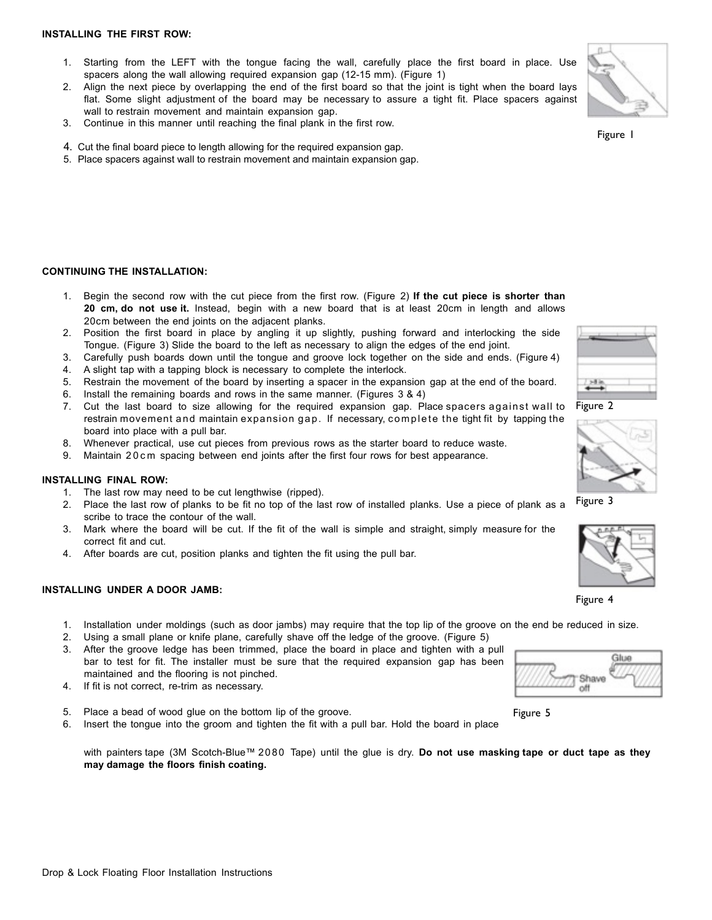#### **INSTALLING THE FIRST ROW:**

- 1. Starting from the LEFT with the tongue facing the wall, carefully place the first board in place. Use spacers along the wall allowing required expansion gap (12-15 mm). (Figure 1)
- 2. Align the next piece by overlapping the end of the first board so that the joint is tight when the board lays flat. Some slight adjustment of the board may be necessary to assure a tight fit. Place spacers against wall to restrain movement and maintain expansion gap.
- 3. Continue in this manner until reaching the final plank in the first row.
- 4. Cut the final board piece to length allowing for the required expansion gap.
- 5. Place spacers against wall to restrain movement and maintain expansion gap.

### **CONTINUING THE INSTALLATION:**

- 1. Begin the second row with the cut piece from the first row. (Figure 2) **If the cut piece is shorter than 20 cm, do not use it.** Instead, begin with a new board that is at least 20cm in length and allows 20cm between the end joints on the adjacent planks.
- 2. Position the first board in place by angling it up slightly, pushing forward and interlocking the side Tongue. (Figure 3) Slide the board to the left as necessary to align the edges of the end joint.
- 3. Carefully push boards down until the tongue and groove lock together on the side and ends. (Figure 4)
- 4. A slight tap with a tapping block is necessary to complete the interlock.
- 5. Restrain the movement of the board by inserting a spacer in the expansion gap at the end of the board.
- 6. Install the remaining boards and rows in the same manner. (Figures 3 & 4)
- 7. Cut the last board to size allowing for the required expansion gap. Place spacers against wall to restrain movement and maintain expansion gap. If necessary, complete the tight fit by tapping the board into place with a pull bar.
- 8. Whenever practical, use cut pieces from previous rows as the starter board to reduce waste.
- 9. Maintain 20cm spacing between end joints after the first four rows for best appearance.

#### **INSTALLING FINAL ROW:**

- 1. The last row may need to be cut lengthwise (ripped).
- 2. Place the last row of planks to be fit no top of the last row of installed planks. Use a piece of plank as a scribe to trace the contour of the wall.
- 3. Mark where the board will be cut. If the fit of the wall is simple and straight, simply measure for the correct fit and cut.
- 4. After boards are cut, position planks and tighten the fit using the pull bar.

#### **INSTALLING UNDER A DOOR JAMB:**

- 1. Installation under moldings (such as door jambs) may require that the top lip of the groove on the end be reduced in size.
- 2. Using a small plane or knife plane, carefully shave off the ledge of the groove. (Figure 5)
- 3. After the groove ledge has been trimmed, place the board in place and tighten with a pull bar to test for fit. The installer must be sure that the required expansion gap has been maintained and the flooring is not pinched.
- 4. If fit is not correct, re-trim as necessary.
- 5. Place a bead of wood glue on the bottom lip of the groove.
- 6. Insert the tongue into the groom and tighten the fit with a pull bar. Hold the board in place

with painters tape (3M Scotch-Blue™ 2080 Tape) until the glue is dry. **Do not use masking tape or duct tape as they may damage the floors finish coating.**









Figure 3



Figure 4